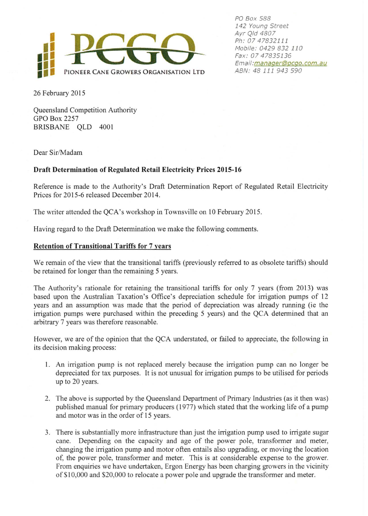

PO Box 588 142 Young Street Ayr Q/d 4807 Ph: 07 47832111 Mobile: 0429 832 110 Fax: 07 47835136 Email: manaqer@pcqo. com. au ABN: 48 111 943 590

26 February 2015

Queensland Competition Authority GPO Box 2257 BRISBANE QLD 4001

Dear Sir/Madam

## Draft Determination of Regulated Retail Electricity Prices 2015-16

Reference is made to the Authority's Draft Determination Report of Regulated Retail Electricity Prices for 2015-6 released December 2014.

The writer attended the QCA's workshop in Townsville on 10 February 2015.

Having regard to the Draft Determination we make the following comments.

## Retention of Transitional Tariffs for 7 years

We remain of the view that the transitional tariffs (previously referred to as obsolete tariffs) should be retained for longer than the remaining 5 years.

The Authority's rationale for retaining the transitional tariffs for only 7 years (from 2013) was based upon the Australian Taxation's Office's depreciation schedule for irrigation pumps of 12 years and an assumption was made that the period of depreciation was already running (ie the irrigation pumps were purchased within the preceding 5 years) and the QCA determined that an arbitrary 7 years was therefore reasonable.

However, we are of the opinion that the QCA understated, or failed to appreciate, the following in its decision making process:

- l. An irrigation pump is not replaced merely because the irrigation pump can no longer be depreciated for tax purposes. It is not unusual for irrigation pumps to be utilised for periods up to 20 years.
- 2. The above is supported by the Queensland Department of Primary Industries (as it then was) published manual for primary producers ( 1977) which stated that the working life of a pump and motor was in the order of 15 years.
- 3. There is substantially more infrastructure than just the irrigation pump used to irrigate sugar cane. Depending on the capacity and age of the power pole, transformer and meter, changing the irrigation pump and motor often entails also upgrading, or moving the location of, the power pole, transformer and meter. This is at considerable expense to the grower. From enquiries we have undertaken, Ergon Energy has been charging growers in the vicinity of \$ 10,000 and \$20,000 to relocate a power pole and upgrade the transformer and meter.